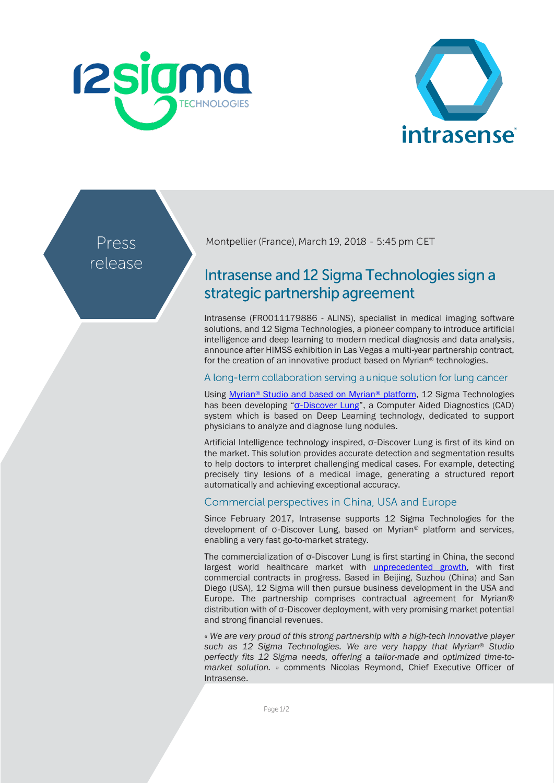



Press release Montpellier (France), March 19, 2018 - 5:45 pm CET

# Intrasense and 12 Sigma Technologies sign a strategic partnership agreement

Intrasense (FR0011179886 - ALINS), specialist in medical imaging software solutions, and 12 Sigma Technologies, a pioneer company to introduce artificial intelligence and deep learning to modern medical diagnosis and data analysis, announce after HIMSS exhibition in Las Vegas a multi-year partnership contract, for the creation of an innovative product based on Myrian® technologies.

## A long-term collaboration serving a unique solution for lung cancer

Using Myrian<sup>®</sup> [Studio and based on Myrian](http://www.intrasense.fr/wp-content/uploads/2017/09/press-release_Strategy2017-20170928-EN.pdf)<sup>®</sup> platform, 12 Sigma Technologies has been developing "**σ-[Discover](http://www.12sigma.cn/en/Products/diagnosis/) Lung**", a Computer Aided Diagnostics (CAD) system which is based on Deep Learning technology, dedicated to support physicians to analyze and diagnose lung nodules.

Artificial Intelligence technology inspired, σ-Discover Lung is first of its kind on the market. This solution provides accurate detection and segmentation results to help doctors to interpret challenging medical cases. For example, detecting precisely tiny lesions of a medical image, generating a structured report automatically and achieving exceptional accuracy.

# Commercial perspectives in China, USA and Europe

Since February 2017, Intrasense supports 12 Sigma Technologies for the development of σ-Discover Lung, based on Myrian® platform and services, enabling a very fast go-to-market strategy.

The commercialization of σ-Discover Lung is first starting in China, the second largest world healthcare market with *unprecedented growth*, with first commercial contracts in progress. Based in Beijing, Suzhou (China) and San Diego (USA), 12 Sigma will then pursue business development in the USA and Europe. The partnership comprises contractual agreement for Myrian® distribution with of σ-Discover deployment, with very promising market potential and strong financial revenues.

*« We are very proud of this strong partnership with a high-tech innovative player such as 12 Sigma Technologies. We are very happy that Myrian*® *Studio perfectly fits 12 Sigma needs, offering a tailor-made and optimized time-tomarket solution. »* comments Nicolas Reymond, Chief Executive Officer of Intrasense.